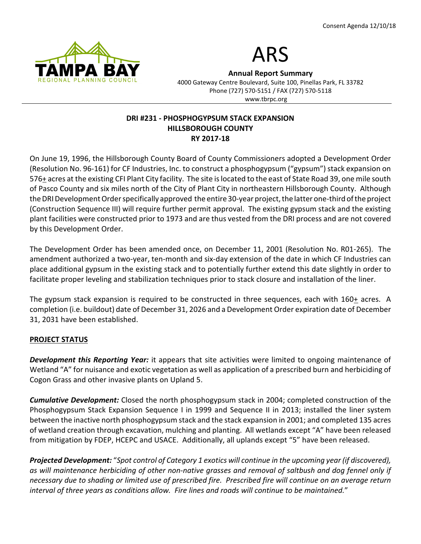



Annual Report Summary

4000 Gateway Centre Boulevard, Suite 100, Pinellas Park, FL 33782 Phone (727) 570-5151 / FAX (727) 570-5118 www.tbrpc.org

## DRI #231 - PHOSPHOGYPSUM STACK EXPANSION HILLSBOROUGH COUNTY RY 2017-18

On June 19, 1996, the Hillsborough County Board of County Commissioners adopted a Development Order (Resolution No. 96-161) for CF Industries, Inc. to construct a phosphogypsum ("gypsum") stack expansion on 576+ acres at the existing CFI Plant City facility. The site is located to the east of State Road 39, one mile south of Pasco County and six miles north of the City of Plant City in northeastern Hillsborough County. Although the DRI Development Order specifically approved the entire 30-year project, the latter one-third of the project (Construction Sequence III) will require further permit approval. The existing gypsum stack and the existing plant facilities were constructed prior to 1973 and are thus vested from the DRI process and are not covered by this Development Order.

The Development Order has been amended once, on December 11, 2001 (Resolution No. R01-265). The amendment authorized a two-year, ten-month and six-day extension of the date in which CF Industries can place additional gypsum in the existing stack and to potentially further extend this date slightly in order to facilitate proper leveling and stabilization techniques prior to stack closure and installation of the liner.

The gypsum stack expansion is required to be constructed in three sequences, each with  $160<sub>+</sub>$  acres. A completion (i.e. buildout) date of December 31, 2026 and a Development Order expiration date of December 31, 2031 have been established.

# PROJECT STATUS

**Development this Reporting Year:** it appears that site activities were limited to ongoing maintenance of Wetland "A" for nuisance and exotic vegetation as well as application of a prescribed burn and herbiciding of Cogon Grass and other invasive plants on Upland 5.

**Cumulative Development:** Closed the north phosphogypsum stack in 2004; completed construction of the Phosphogypsum Stack Expansion Sequence I in 1999 and Sequence II in 2013; installed the liner system between the inactive north phosphogypsum stack and the stack expansion in 2001; and completed 135 acres of wetland creation through excavation, mulching and planting. All wetlands except "A" have been released from mitigation by FDEP, HCEPC and USACE. Additionally, all uplands except "5" have been released.

Projected Development: "Spot control of Category 1 exotics will continue in the upcoming year (if discovered), as will maintenance herbiciding of other non-native grasses and removal of saltbush and dog fennel only if necessary due to shading or limited use of prescribed fire. Prescribed fire will continue on an average return interval of three years as conditions allow. Fire lines and roads will continue to be maintained."